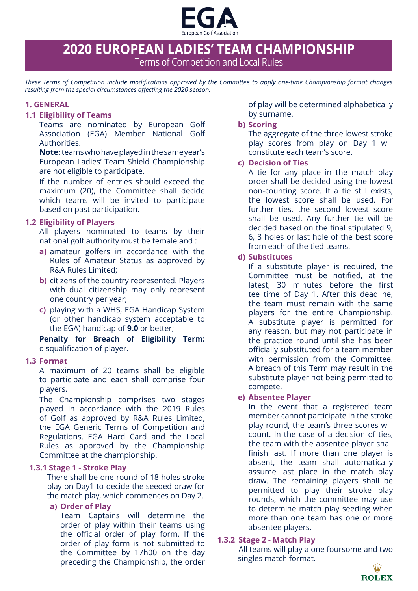

# **2020 EUROPEAN LADIES' TEAM CHAMPIONSHIP** Terms of Competition and Local Rules

*These Terms of Competition include modifications approved by the Committee to apply one-time Championship format changes resulting from the special circumstances affecting the 2020 season.*

## **1. GENERAL**

#### **1.1 Eligibility of Teams**

Teams are nominated by European Golf Association (EGA) Member National Golf Authorities.

**Note:**teams who have played in the same year's European Ladies' Team Shield Championship are not eligible to participate.

If the number of entries should exceed the maximum (20), the Committee shall decide which teams will be invited to participate based on past participation.

## **1.2 Eligibility of Players**

All players nominated to teams by their national golf authority must be female and :

- **a)** amateur golfers in accordance with the Rules of Amateur Status as approved by R&A Rules Limited;
- **b)** citizens of the country represented. Players with dual citizenship may only represent one country per year;
- **c)** playing with a WHS, EGA Handicap System (or other handicap system acceptable to the EGA) handicap of **9.0** or better;

**Penalty for Breach of Eligibility Term:**  disqualification of player.

## **1.3 Format**

A maximum of 20 teams shall be eligible to participate and each shall comprise four players.

The Championship comprises two stages played in accordance with the 2019 Rules of Golf as approved by R&A Rules Limited, the EGA Generic Terms of Competition and Regulations, EGA Hard Card and the Local Rules as approved by the Championship Committee at the championship.

## **1.3.1 Stage 1 - Stroke Play**

There shall be one round of 18 holes stroke play on Day1 to decide the seeded draw for the match play, which commences on Day 2.

## **a) Order of Play**

Team Captains will determine the order of play within their teams using the official order of play form. If the order of play form is not submitted to the Committee by 17h00 on the day preceding the Championship, the order of play will be determined alphabetically by surname.

## **b) Scoring**

The aggregate of the three lowest stroke play scores from play on Day 1 will constitute each team's score.

## **c) Decision of Ties**

A tie for any place in the match play order shall be decided using the lowest non-counting score. If a tie still exists, the lowest score shall be used. For further ties, the second lowest score shall be used. Any further tie will be decided based on the final stipulated 9, 6, 3 holes or last hole of the best score from each of the tied teams.

## **d) Substitutes**

If a substitute player is required, the Committee must be notified, at the latest, 30 minutes before the first tee time of Day 1. After this deadline, the team must remain with the same players for the entire Championship. A substitute player is permitted for any reason, but may not participate in the practice round until she has been officially substituted for a team member with permission from the Committee. A breach of this Term may result in the substitute player not being permitted to compete.

## **e) Absentee Player**

In the event that a registered team member cannot participate in the stroke play round, the team's three scores will count. In the case of a decision of ties, the team with the absentee player shall finish last. If more than one player is absent, the team shall automatically assume last place in the match play draw. The remaining players shall be permitted to play their stroke play rounds, which the committee may use to determine match play seeding when more than one team has one or more absentee players.

# **1.3.2 Stage 2 - Match Play**

All teams will play a one foursome and two singles match format.

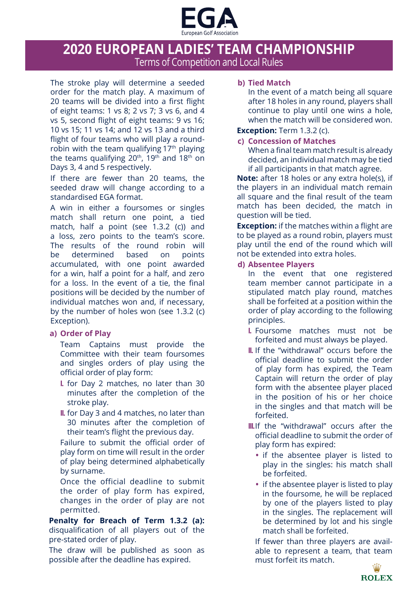

# **2020 EUROPEAN LADIES' TEAM CHAMPIONSHIP** Terms of Competition and Local Rules

The stroke play will determine a seeded order for the match play. A maximum of 20 teams will be divided into a first flight of eight teams: 1 vs 8; 2 vs 7; 3 vs 6, and 4 vs 5, second flight of eight teams: 9 vs 16; 10 vs 15; 11 vs 14; and 12 vs 13 and a third flight of four teams who will play a roundrobin with the team qualifying 17<sup>th</sup> playing the teams qualifying  $20^{th}$ , 19<sup>th</sup> and 18<sup>th</sup> on Days 3, 4 and 5 respectively.

If there are fewer than 20 teams, the seeded draw will change according to a standardised EGA format.

A win in either a foursomes or singles match shall return one point, a tied match, half a point (see 1.3.2 (c)) and a loss, zero points to the team's score. The results of the round robin will be determined based on points accumulated, with one point awarded for a win, half a point for a half, and zero for a loss. In the event of a tie, the final positions will be decided by the number of individual matches won and, if necessary, by the number of holes won (see 1.3.2 (c) Exception).

# **a) Order of Play**

Team Captains must provide the Committee with their team foursomes and singles orders of play using the official order of play form:

- **I.** for Day 2 matches, no later than 30 minutes after the completion of the stroke play.
- **II.** for Day 3 and 4 matches, no later than 30 minutes after the completion of their team's flight the previous day.

Failure to submit the official order of play form on time will result in the order of play being determined alphabetically by surname.

Once the official deadline to submit the order of play form has expired, changes in the order of play are not permitted.

**Penalty for Breach of Term 1.3.2 (a):**  disqualification of all players out of the pre-stated order of play.

The draw will be published as soon as possible after the deadline has expired.

# **b) Tied Match**

In the event of a match being all square after 18 holes in any round, players shall continue to play until one wins a hole, when the match will be considered won.

# **Exception:** Term 1.3.2 (c).

# **c) Concession of Matches**

When a final team match result is already decided, an individual match may be tied if all participants in that match agree.

**Note:** after 18 holes or any extra hole(s), if the players in an individual match remain all square and the final result of the team match has been decided, the match in question will be tied.

**Exception:** if the matches within a flight are to be played as a round robin, players must play until the end of the round which will not be extended into extra holes.

# **d) Absentee Players**

In the event that one registered team member cannot participate in a stipulated match play round, matches shall be forfeited at a position within the order of play according to the following principles.

- **I.** Foursome matches must not be forfeited and must always be played.
- **II.** If the "withdrawal" occurs before the official deadline to submit the order of play form has expired, the Team Captain will return the order of play form with the absentee player placed in the position of his or her choice in the singles and that match will be forfeited.
- **III.**If the "withdrawal" occurs after the official deadline to submit the order of play form has expired:
	- **•** if the absentee player is listed to play in the singles: his match shall be forfeited.
	- **•** if the absentee player is listed to play in the foursome, he will be replaced by one of the players listed to play in the singles. The replacement will be determined by lot and his single match shall be forfeited.

If fewer than three players are available to represent a team, that team must forfeit its match.